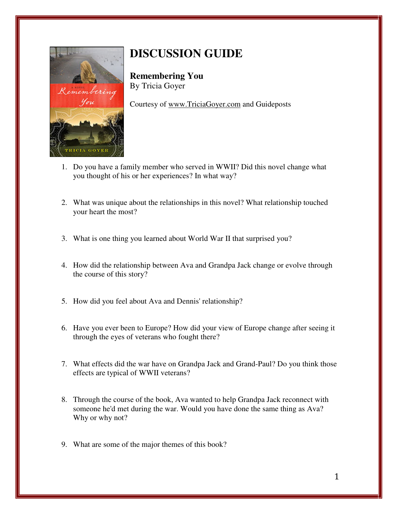

## **DISCUSSION GUIDE**

**Remembering You**  By Tricia Goyer

Courtesy of www.TriciaGoyer.com and Guideposts

- 1. Do you have a family member who served in WWII? Did this novel change what you thought of his or her experiences? In what way?
- 2. What was unique about the relationships in this novel? What relationship touched your heart the most?
- 3. What is one thing you learned about World War II that surprised you?
- 4. How did the relationship between Ava and Grandpa Jack change or evolve through the course of this story?
- 5. How did you feel about Ava and Dennis' relationship?
- 6. Have you ever been to Europe? How did your view of Europe change after seeing it through the eyes of veterans who fought there?
- 7. What effects did the war have on Grandpa Jack and Grand-Paul? Do you think those effects are typical of WWII veterans?
- 8. Through the course of the book, Ava wanted to help Grandpa Jack reconnect with someone he'd met during the war. Would you have done the same thing as Ava? Why or why not?
- 9. What are some of the major themes of this book?